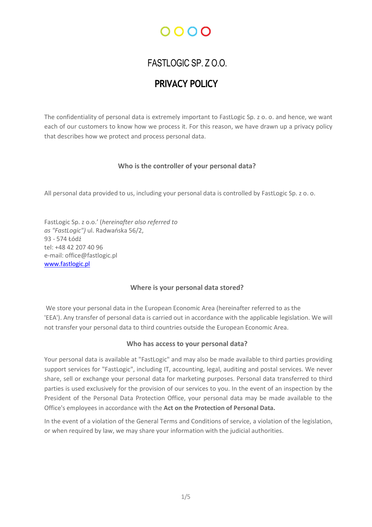# ററററ

# FASTLOGIC SP. Z O.O.

# PRIVACY POLICY

The confidentiality of personal data is extremely important to FastLogic Sp. z o. o. and hence, we want each of our customers to know how we process it. For this reason, we have drawn up a privacy policy that describes how we protect and process personal data.

# Who is the controller of your personal data?

All personal data provided to us, including your personal data is controlled by FastLogic Sp. z o. o.

FastLogic Sp. z o.o.' (hereinafter also referred to as "FastLogic") ul. Radwańska 56/2, 93 - 574 Łódź tel: +48 42 207 40 96 e-mail: office@fastlogic.pl www.fastlogic.pl

# Where is your personal data stored?

We store your personal data in the European Economic Area (hereinafter referred to as the 'EEA'). Any transfer of personal data is carried out in accordance with the applicable legislation. We will not transfer your personal data to third countries outside the European Economic Area.

# Who has access to your personal data?

Your personal data is available at "FastLogic" and may also be made available to third parties providing support services for "FastLogic", including IT, accounting, legal, auditing and postal services. We never share, sell or exchange your personal data for marketing purposes. Personal data transferred to third parties is used exclusively for the provision of our services to you. In the event of an inspection by the President of the Personal Data Protection Office, your personal data may be made available to the Office's employees in accordance with the Act on the Protection of Personal Data.

In the event of a violation of the General Terms and Conditions of service, a violation of the legislation, or when required by law, we may share your information with the judicial authorities.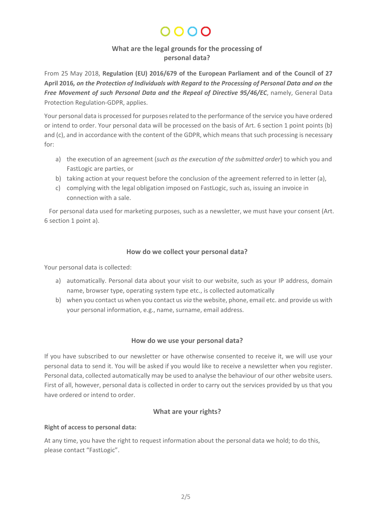# $0000$

# What are the legal grounds for the processing of personal data?

From 25 May 2018, Regulation (EU) 2016/679 of the European Parliament and of the Council of 27 April 2016, on the Protection of Individuals with Regard to the Processing of Personal Data and on the Free Movement of such Personal Data and the Repeal of Directive 95/46/EC, namely, General Data Protection Regulation-GDPR, applies.

Your personal data is processed for purposes related to the performance of the service you have ordered or intend to order. Your personal data will be processed on the basis of Art. 6 section 1 point points (b) and (c), and in accordance with the content of the GDPR, which means that such processing is necessary for:

- a) the execution of an agreement (such as the execution of the submitted order) to which you and FastLogic are parties, or
- b) taking action at your request before the conclusion of the agreement referred to in letter (a),
- c) complying with the legal obligation imposed on FastLogic, such as, issuing an invoice in connection with a sale.

For personal data used for marketing purposes, such as a newsletter, we must have your consent (Art. 6 section 1 point a).

# How do we collect your personal data?

Your personal data is collected:

- a) automatically. Personal data about your visit to our website, such as your IP address, domain name, browser type, operating system type etc., is collected automatically
- b) when you contact us when you contact us *via* the website, phone, email etc. and provide us with your personal information, e.g., name, surname, email address.

#### How do we use your personal data?

If you have subscribed to our newsletter or have otherwise consented to receive it, we will use your personal data to send it. You will be asked if you would like to receive a newsletter when you register. Personal data, collected automatically may be used to analyse the behaviour of our other website users. First of all, however, personal data is collected in order to carry out the services provided by us that you have ordered or intend to order.

#### What are your rights?

#### Right of access to personal data:

At any time, you have the right to request information about the personal data we hold; to do this, please contact "FastLogic".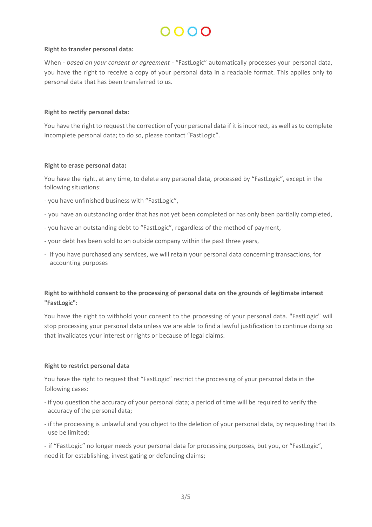# $\Omega$

#### Right to transfer personal data:

When - based on your consent or agreement - "FastLogic" automatically processes your personal data, you have the right to receive a copy of your personal data in a readable format. This applies only to personal data that has been transferred to us.

#### Right to rectify personal data:

You have the right to request the correction of your personal data if it is incorrect, as well as to complete incomplete personal data; to do so, please contact "FastLogic".

#### Right to erase personal data:

You have the right, at any time, to delete any personal data, processed by "FastLogic", except in the following situations:

- you have unfinished business with "FastLogic",
- you have an outstanding order that has not yet been completed or has only been partially completed,
- you have an outstanding debt to "FastLogic", regardless of the method of payment,
- your debt has been sold to an outside company within the past three years,
- if you have purchased any services, we will retain your personal data concerning transactions, for accounting purposes

# Right to withhold consent to the processing of personal data on the grounds of legitimate interest "FastLogic":

You have the right to withhold your consent to the processing of your personal data. "FastLogic" will stop processing your personal data unless we are able to find a lawful justification to continue doing so that invalidates your interest or rights or because of legal claims.

#### Right to restrict personal data

You have the right to request that "FastLogic" restrict the processing of your personal data in the following cases:

- if you question the accuracy of your personal data; a period of time will be required to verify the accuracy of the personal data;
- if the processing is unlawful and you object to the deletion of your personal data, by requesting that its use be limited;

- if "FastLogic" no longer needs your personal data for processing purposes, but you, or "FastLogic", need it for establishing, investigating or defending claims;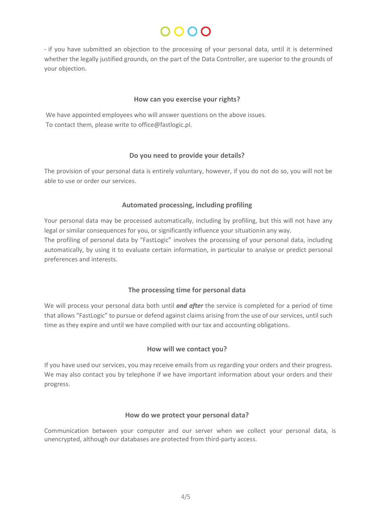# $0000$

- if you have submitted an objection to the processing of your personal data, until it is determined whether the legally justified grounds, on the part of the Data Controller, are superior to the grounds of your objection.

#### How can you exercise your rights?

We have appointed employees who will answer questions on the above issues. To contact them, please write to office@fastlogic.pl.

#### Do you need to provide your details?

The provision of your personal data is entirely voluntary, however, if you do not do so, you will not be able to use or order our services.

### Automated processing, including profiling

Your personal data may be processed automatically, including by profiling, but this will not have any legal or similar consequences for you, or significantly influence your situation in any way. The profiling of personal data by "FastLogic" involves the processing of your personal data, including automatically, by using it to evaluate certain information, in particular to analyse or predict personal preferences and interests.

# The processing time for personal data

We will process your personal data both until *and after* the service is completed for a period of time that allows "FastLogic" to pursue or defend against claims arising from the use of our services, until such time as they expire and until we have complied with our tax and accounting obligations.

#### How will we contact you?

If you have used our services, you may receive emails from us regarding your orders and their progress. We may also contact you by telephone if we have important information about your orders and their progress.

#### How do we protect your personal data?

Communication between your computer and our server when we collect your personal data, is unencrypted, although our databases are protected from third-party access.